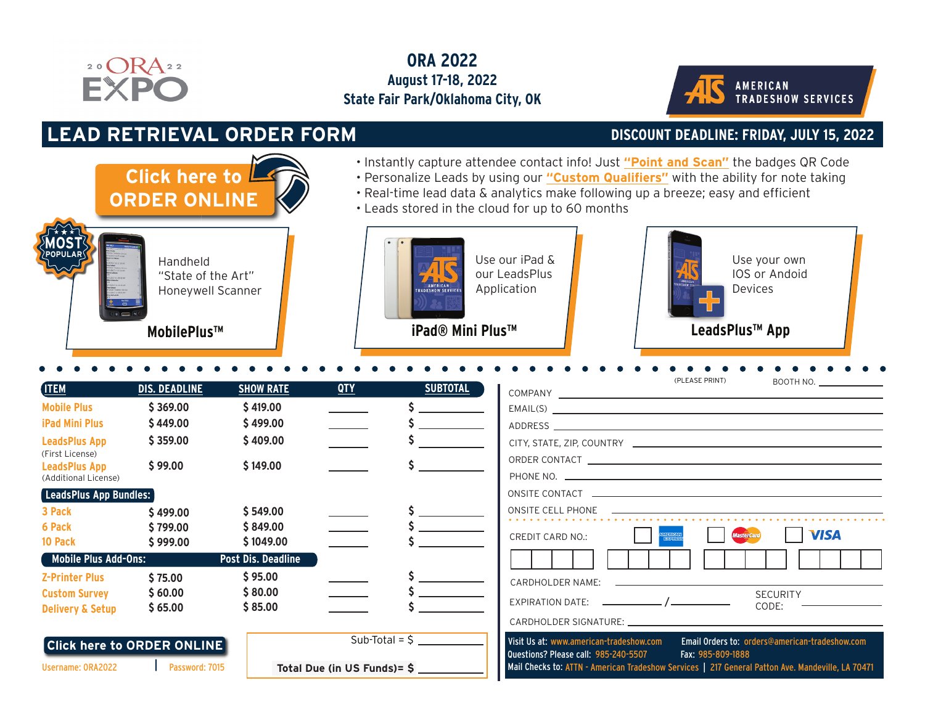

## **ORA 2022 August 17-18, 2022 State Fair Park/Oklahoma City, OK**



## **LEAD RETRIEVAL ORDER FORM DISCOUNT DEADLINE: FRIDAY, JULY 15, 2022**

**Click here to**

**[ORDER ONLINE](https://orders.atsleads.com/OrderUnit/login.aspx?id=ORA2022&pw=7015)**

- Instantly capture attendee contact info! Just **"Point and Scan"** the badges QR Code
- Personalize Leads by using our **"Custom Qualifiers"** with the ability for note taking
- Real-time lead data & analytics make following up a breeze; easy and efficient
- Leads stored in the cloud for up to 60 months



"State of the Art" Honeywell Scanner



Use our iPad & our LeadsPlus Application

**MobilePlus™ LeadsPlus™ App iPad® Mini Plus™**



| <b>ITEM</b>                             | <b>DIS. DEADLINE</b>              | <b>SHOW RATE</b>   | <b>QTY</b>                  | <b>SUBTOTAL</b> |
|-----------------------------------------|-----------------------------------|--------------------|-----------------------------|-----------------|
| <b>Mobile Plus</b>                      | \$369.00                          | \$419.00           |                             |                 |
| <b>iPad Mini Plus</b>                   | \$449.00                          | \$499.00           |                             |                 |
| <b>LeadsPlus App</b><br>(First License) | \$359.00                          | \$409.00           |                             |                 |
| <b>LeadsPlus App</b>                    | \$99.00                           | \$149.00           |                             |                 |
| (Additional License)                    |                                   |                    |                             |                 |
| [LeadsPlus App Bundles:                 |                                   |                    |                             |                 |
| 3 Pack                                  | \$499.00                          | \$549.00           |                             |                 |
| 6 Pack                                  | \$799.00                          | \$849.00           |                             |                 |
| 10 Pack                                 | \$999.00                          | \$1049.00          |                             |                 |
| <b>Mobile Plus Add-Ons:</b>             |                                   | Post Dis. Deadline |                             |                 |
| <b>Z-Printer Plus</b>                   | \$75.00                           | \$95.00            |                             |                 |
| <b>Custom Survey</b>                    | \$60.00                           | \$80.00            |                             |                 |
| <b>Delivery &amp; Setup</b>             | \$65.00                           | \$85.00            |                             |                 |
|                                         |                                   |                    |                             |                 |
|                                         | <b>Click here to ORDER ONLINE</b> |                    |                             |                 |
| Username: ORA2022                       | Password: 7015                    |                    | Total Due (in US Funds)= \$ |                 |